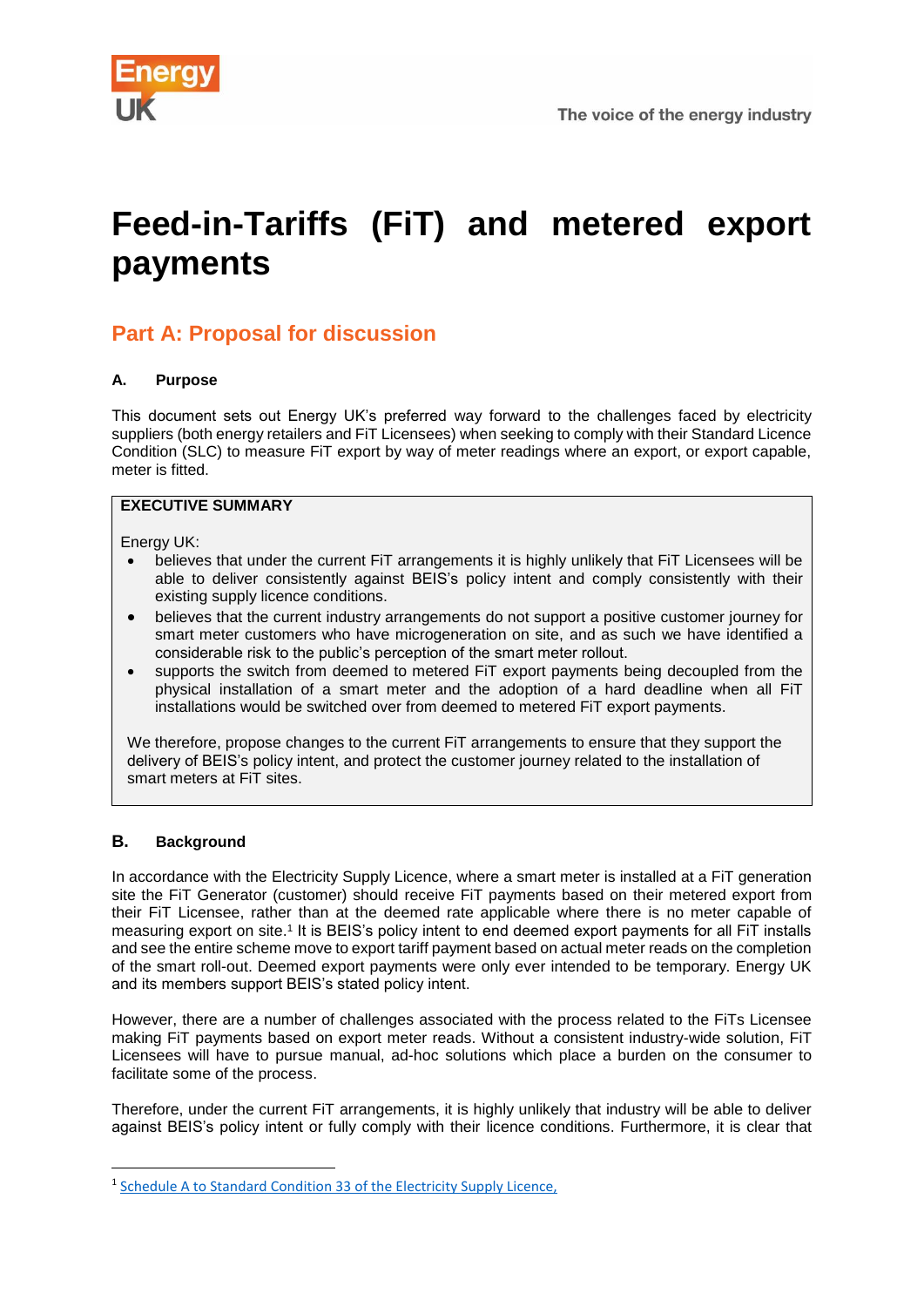

# **Feed-in-Tariffs (FiT) and metered export payments**

# **Part A: Proposal for discussion**

# **A. Purpose**

This document sets out Energy UK's preferred way forward to the challenges faced by electricity suppliers (both energy retailers and FiT Licensees) when seeking to comply with their Standard Licence Condition (SLC) to measure FiT export by way of meter readings where an export, or export capable, meter is fitted.

# **EXECUTIVE SUMMARY**

Energy UK:

- believes that under the current FiT arrangements it is highly unlikely that FiT Licensees will be able to deliver consistently against BEIS's policy intent and comply consistently with their existing supply licence conditions.
- believes that the current industry arrangements do not support a positive customer journey for smart meter customers who have microgeneration on site, and as such we have identified a considerable risk to the public's perception of the smart meter rollout.
- supports the switch from deemed to metered FiT export payments being decoupled from the physical installation of a smart meter and the adoption of a hard deadline when all FiT installations would be switched over from deemed to metered FiT export payments.

We therefore, propose changes to the current FIT arrangements to ensure that they support the delivery of BEIS's policy intent, and protect the customer journey related to the installation of smart meters at FiT sites.

# **B. Background**

**.** 

In accordance with the Electricity Supply Licence, where a smart meter is installed at a FiT generation site the FiT Generator (customer) should receive FiT payments based on their metered export from their FiT Licensee, rather than at the deemed rate applicable where there is no meter capable of measuring export on site.<sup>1</sup> It is BEIS's policy intent to end deemed export payments for all FiT installs and see the entire scheme move to export tariff payment based on actual meter reads on the completion of the smart roll-out. Deemed export payments were only ever intended to be temporary. Energy UK and its members support BEIS's stated policy intent.

However, there are a number of challenges associated with the process related to the FiTs Licensee making FiT payments based on export meter reads. Without a consistent industry-wide solution, FiT Licensees will have to pursue manual, ad-hoc solutions which place a burden on the consumer to facilitate some of the process.

Therefore, under the current FiT arrangements, it is highly unlikely that industry will be able to deliver against BEIS's policy intent or fully comply with their licence conditions. Furthermore, it is clear that

<sup>&</sup>lt;sup>1</sup> Schedule A to Standard Condition 33 of the Electricity Supply Licence,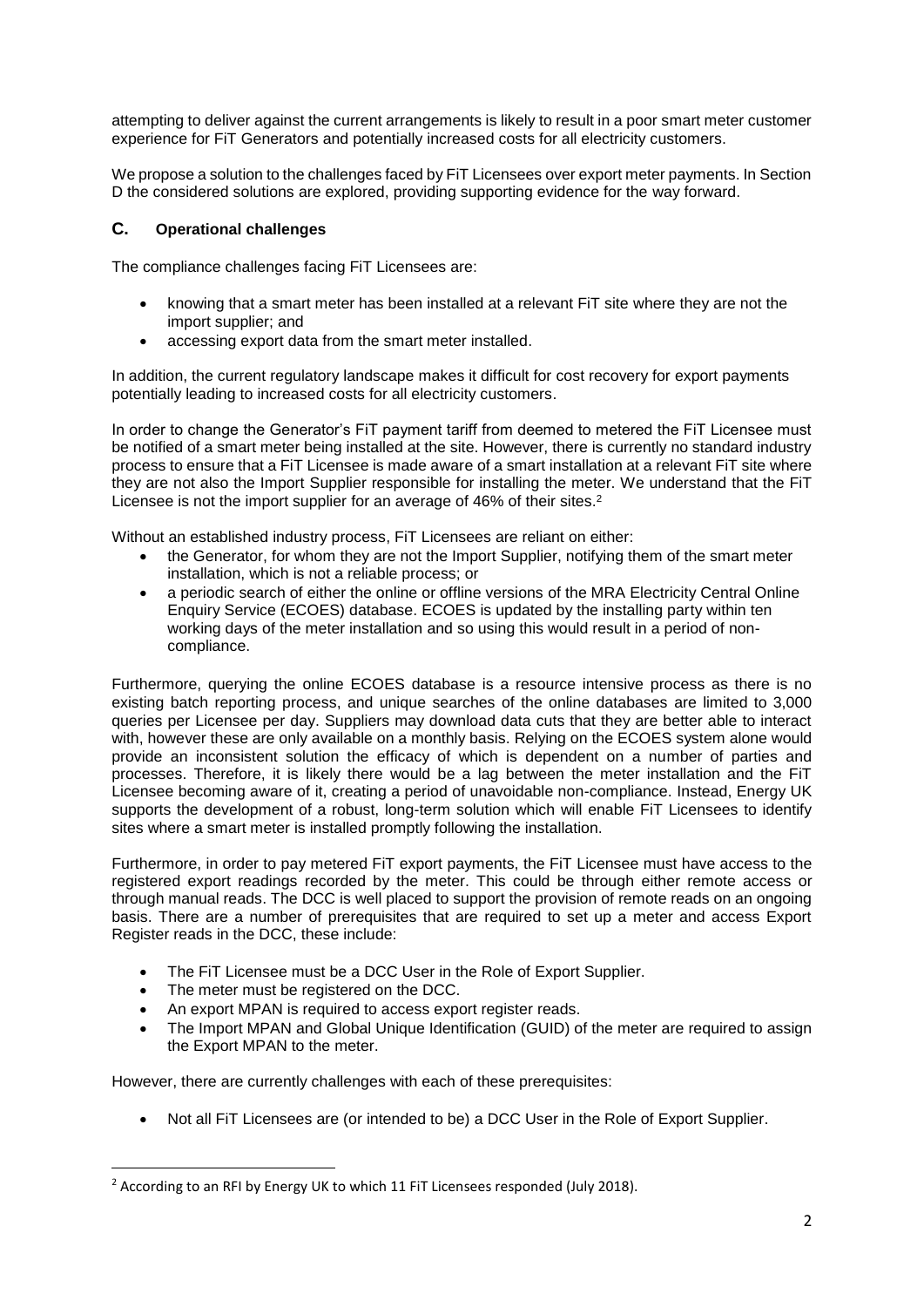attempting to deliver against the current arrangements is likely to result in a poor smart meter customer experience for FiT Generators and potentially increased costs for all electricity customers.

We propose a solution to the challenges faced by FiT Licensees over export meter payments. In Section D the considered solutions are explored, providing supporting evidence for the way forward.

# **C. Operational challenges**

The compliance challenges facing FiT Licensees are:

- knowing that a smart meter has been installed at a relevant FiT site where they are not the import supplier; and
- accessing export data from the smart meter installed.

In addition, the current regulatory landscape makes it difficult for cost recovery for export payments potentially leading to increased costs for all electricity customers.

In order to change the Generator's FiT payment tariff from deemed to metered the FiT Licensee must be notified of a smart meter being installed at the site. However, there is currently no standard industry process to ensure that a FiT Licensee is made aware of a smart installation at a relevant FiT site where they are not also the Import Supplier responsible for installing the meter. We understand that the FiT Licensee is not the import supplier for an average of 46% of their sites.<sup>2</sup>

Without an established industry process, FiT Licensees are reliant on either:

- the Generator, for whom they are not the Import Supplier, notifying them of the smart meter installation, which is not a reliable process; or
- a periodic search of either the online or offline versions of the MRA Electricity Central Online Enquiry Service (ECOES) database. ECOES is updated by the installing party within ten working days of the meter installation and so using this would result in a period of noncompliance.

Furthermore, querying the online ECOES database is a resource intensive process as there is no existing batch reporting process, and unique searches of the online databases are limited to 3,000 queries per Licensee per day. Suppliers may download data cuts that they are better able to interact with, however these are only available on a monthly basis. Relying on the ECOES system alone would provide an inconsistent solution the efficacy of which is dependent on a number of parties and processes. Therefore, it is likely there would be a lag between the meter installation and the FiT Licensee becoming aware of it, creating a period of unavoidable non-compliance. Instead, Energy UK supports the development of a robust, long-term solution which will enable FiT Licensees to identify sites where a smart meter is installed promptly following the installation.

Furthermore, in order to pay metered FiT export payments, the FiT Licensee must have access to the registered export readings recorded by the meter. This could be through either remote access or through manual reads. The DCC is well placed to support the provision of remote reads on an ongoing basis. There are a number of prerequisites that are required to set up a meter and access Export Register reads in the DCC, these include:

- The FIT Licensee must be a DCC User in the Role of Export Supplier.
- The meter must be registered on the DCC.

**.** 

- An export MPAN is required to access export register reads.
- The Import MPAN and Global Unique Identification (GUID) of the meter are required to assign the Export MPAN to the meter.

However, there are currently challenges with each of these prerequisites:

• Not all FiT Licensees are (or intended to be) a DCC User in the Role of Export Supplier.

<sup>&</sup>lt;sup>2</sup> According to an RFI by Energy UK to which 11 FiT Licensees responded (July 2018).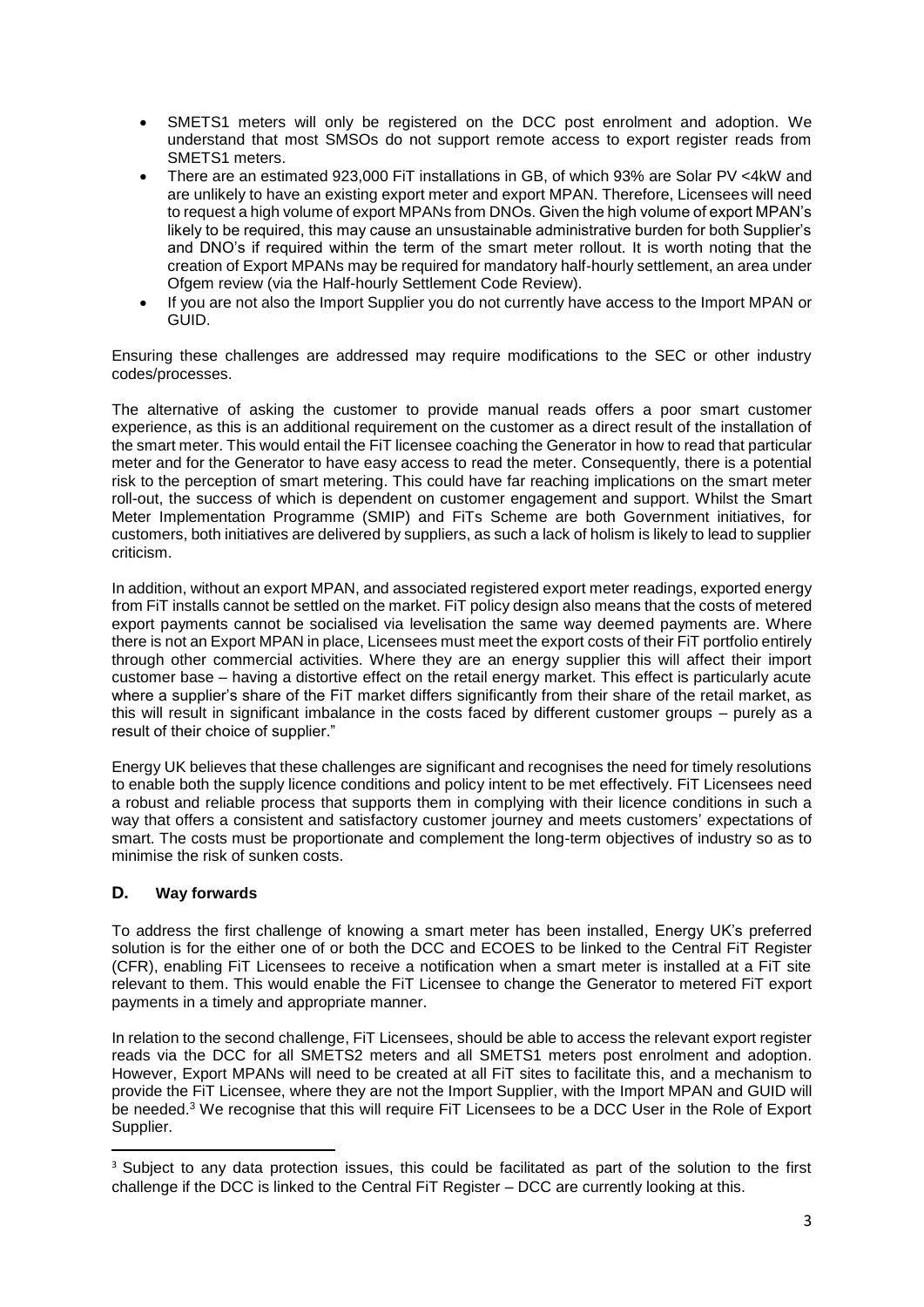- SMETS1 meters will only be registered on the DCC post enrolment and adoption. We understand that most SMSOs do not support remote access to export register reads from SMETS1 meters.
- There are an estimated 923,000 FiT installations in GB, of which 93% are Solar PV <4kW and are unlikely to have an existing export meter and export MPAN. Therefore, Licensees will need to request a high volume of export MPANs from DNOs. Given the high volume of export MPAN's likely to be required, this may cause an unsustainable administrative burden for both Supplier's and DNO's if required within the term of the smart meter rollout. It is worth noting that the creation of Export MPANs may be required for mandatory half-hourly settlement, an area under Ofgem review (via the Half-hourly Settlement Code Review).
- If you are not also the Import Supplier you do not currently have access to the Import MPAN or GUID.

Ensuring these challenges are addressed may require modifications to the SEC or other industry codes/processes.

The alternative of asking the customer to provide manual reads offers a poor smart customer experience, as this is an additional requirement on the customer as a direct result of the installation of the smart meter. This would entail the FiT licensee coaching the Generator in how to read that particular meter and for the Generator to have easy access to read the meter. Consequently, there is a potential risk to the perception of smart metering. This could have far reaching implications on the smart meter roll-out, the success of which is dependent on customer engagement and support. Whilst the Smart Meter Implementation Programme (SMIP) and FiTs Scheme are both Government initiatives, for customers, both initiatives are delivered by suppliers, as such a lack of holism is likely to lead to supplier criticism.

In addition, without an export MPAN, and associated registered export meter readings, exported energy from FiT installs cannot be settled on the market. FiT policy design also means that the costs of metered export payments cannot be socialised via levelisation the same way deemed payments are. Where there is not an Export MPAN in place, Licensees must meet the export costs of their FiT portfolio entirely through other commercial activities. Where they are an energy supplier this will affect their import customer base – having a distortive effect on the retail energy market. This effect is particularly acute where a supplier's share of the FiT market differs significantly from their share of the retail market, as this will result in significant imbalance in the costs faced by different customer groups – purely as a result of their choice of supplier."

Energy UK believes that these challenges are significant and recognises the need for timely resolutions to enable both the supply licence conditions and policy intent to be met effectively. FiT Licensees need a robust and reliable process that supports them in complying with their licence conditions in such a way that offers a consistent and satisfactory customer journey and meets customers' expectations of smart. The costs must be proportionate and complement the long-term objectives of industry so as to minimise the risk of sunken costs.

# **D. Way forwards**

1

To address the first challenge of knowing a smart meter has been installed, Energy UK's preferred solution is for the either one of or both the DCC and ECOES to be linked to the Central FiT Register (CFR), enabling FiT Licensees to receive a notification when a smart meter is installed at a FiT site relevant to them. This would enable the FiT Licensee to change the Generator to metered FiT export payments in a timely and appropriate manner.

In relation to the second challenge, FiT Licensees, should be able to access the relevant export register reads via the DCC for all SMETS2 meters and all SMETS1 meters post enrolment and adoption. However, Export MPANs will need to be created at all FiT sites to facilitate this, and a mechanism to provide the FiT Licensee, where they are not the Import Supplier, with the Import MPAN and GUID will be needed.<sup>3</sup> We recognise that this will require FiT Licensees to be a DCC User in the Role of Export Supplier.

<sup>&</sup>lt;sup>3</sup> Subject to any data protection issues, this could be facilitated as part of the solution to the first challenge if the DCC is linked to the Central FiT Register – DCC are currently looking at this.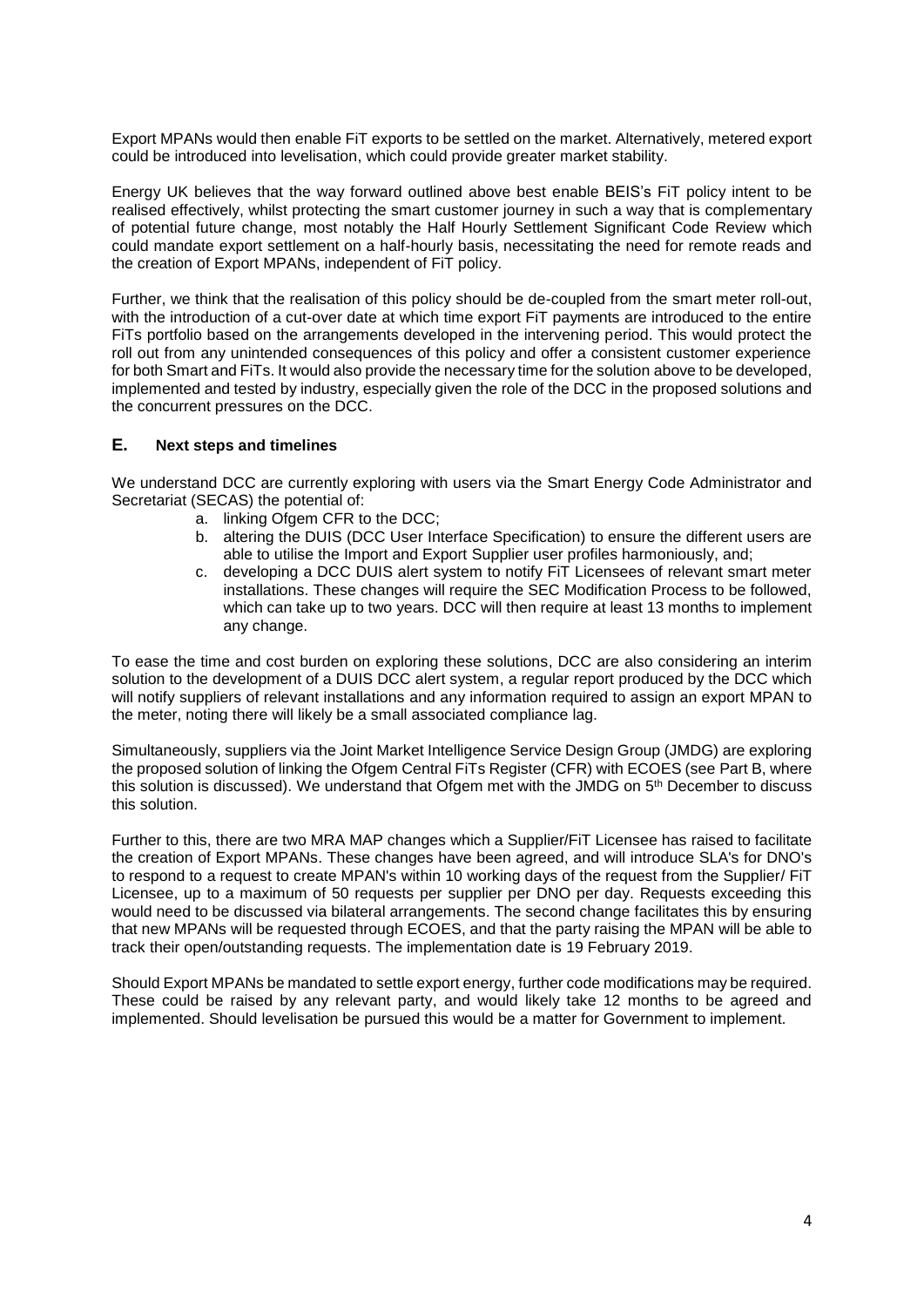Export MPANs would then enable FiT exports to be settled on the market. Alternatively, metered export could be introduced into levelisation, which could provide greater market stability.

Energy UK believes that the way forward outlined above best enable BEIS's FiT policy intent to be realised effectively, whilst protecting the smart customer journey in such a way that is complementary of potential future change, most notably the Half Hourly Settlement Significant Code Review which could mandate export settlement on a half-hourly basis, necessitating the need for remote reads and the creation of Export MPANs, independent of FiT policy.

Further, we think that the realisation of this policy should be de-coupled from the smart meter roll-out, with the introduction of a cut-over date at which time export FiT payments are introduced to the entire FiTs portfolio based on the arrangements developed in the intervening period. This would protect the roll out from any unintended consequences of this policy and offer a consistent customer experience for both Smart and FiTs. It would also provide the necessary time for the solution above to be developed, implemented and tested by industry, especially given the role of the DCC in the proposed solutions and the concurrent pressures on the DCC.

# **E. Next steps and timelines**

We understand DCC are currently exploring with users via the Smart Energy Code Administrator and Secretariat (SECAS) the potential of:

- a. linking Ofgem CFR to the DCC;
- b. altering the DUIS (DCC User Interface Specification) to ensure the different users are able to utilise the Import and Export Supplier user profiles harmoniously, and;
- c. developing a DCC DUIS alert system to notify FiT Licensees of relevant smart meter installations. These changes will require the SEC Modification Process to be followed, which can take up to two years. DCC will then require at least 13 months to implement any change.

To ease the time and cost burden on exploring these solutions, DCC are also considering an interim solution to the development of a DUIS DCC alert system, a regular report produced by the DCC which will notify suppliers of relevant installations and any information required to assign an export MPAN to the meter, noting there will likely be a small associated compliance lag.

Simultaneously, suppliers via the Joint Market Intelligence Service Design Group (JMDG) are exploring the proposed solution of linking the Ofgem Central FiTs Register (CFR) with ECOES (see Part B, where this solution is discussed). We understand that Ofgem met with the JMDG on 5<sup>th</sup> December to discuss this solution.

Further to this, there are two MRA MAP changes which a Supplier/FiT Licensee has raised to facilitate the creation of Export MPANs. These changes have been agreed, and will introduce SLA's for DNO's to respond to a request to create MPAN's within 10 working days of the request from the Supplier/ FiT Licensee, up to a maximum of 50 requests per supplier per DNO per day. Requests exceeding this would need to be discussed via bilateral arrangements. The second change facilitates this by ensuring that new MPANs will be requested through ECOES, and that the party raising the MPAN will be able to track their open/outstanding requests. The implementation date is 19 February 2019.

Should Export MPANs be mandated to settle export energy, further code modifications may be required. These could be raised by any relevant party, and would likely take 12 months to be agreed and implemented. Should levelisation be pursued this would be a matter for Government to implement.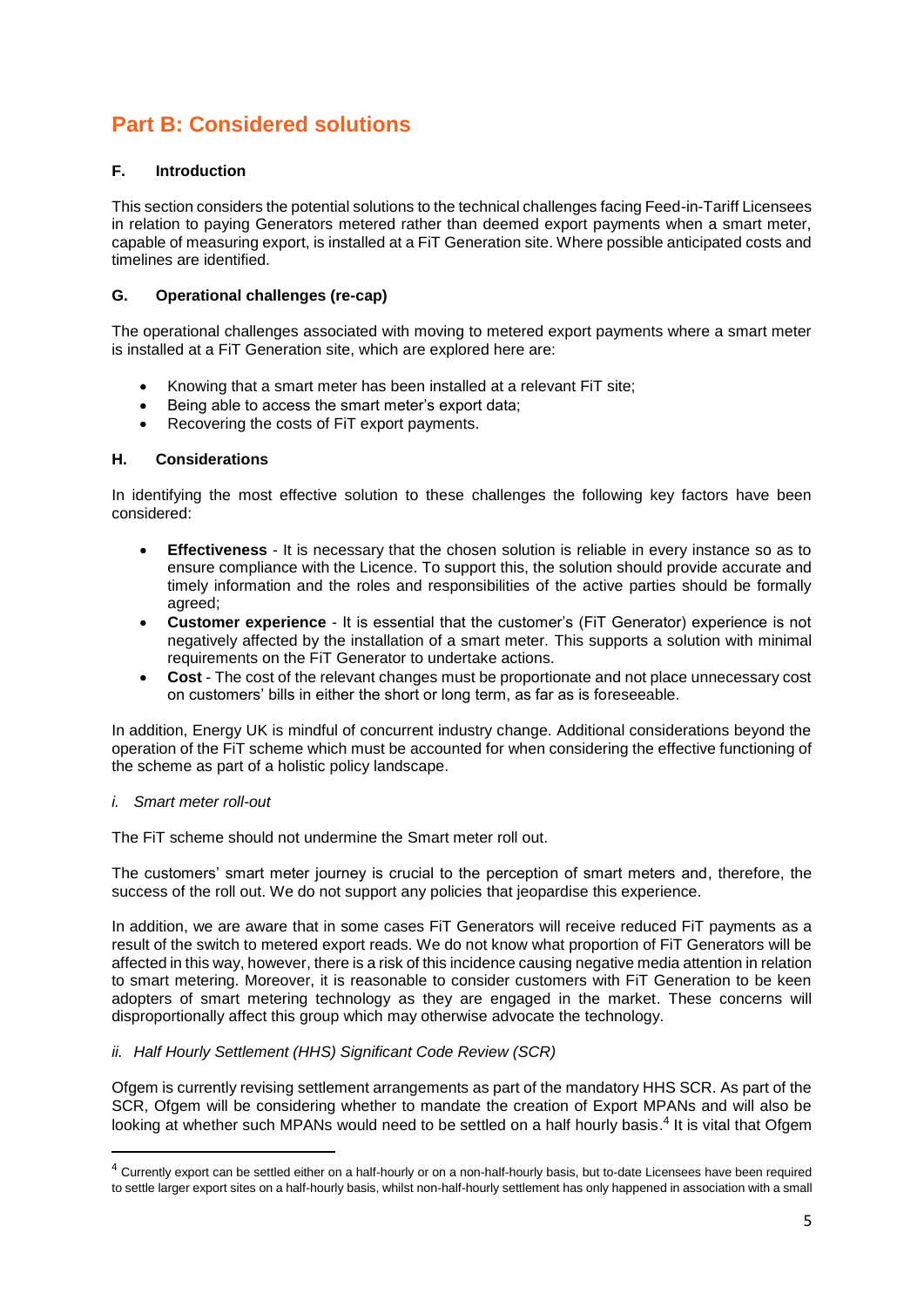# **Part B: Considered solutions**

# **F. Introduction**

This section considers the potential solutions to the technical challenges facing Feed-in-Tariff Licensees in relation to paying Generators metered rather than deemed export payments when a smart meter, capable of measuring export, is installed at a FiT Generation site. Where possible anticipated costs and timelines are identified.

# **G. Operational challenges (re-cap)**

The operational challenges associated with moving to metered export payments where a smart meter is installed at a FiT Generation site, which are explored here are:

- Knowing that a smart meter has been installed at a relevant FiT site;
- Being able to access the smart meter's export data:
- Recovering the costs of FiT export payments.

# **H. Considerations**

In identifying the most effective solution to these challenges the following key factors have been considered:

- **Effectiveness** It is necessary that the chosen solution is reliable in every instance so as to ensure compliance with the Licence. To support this, the solution should provide accurate and timely information and the roles and responsibilities of the active parties should be formally agreed;
- **Customer experience** It is essential that the customer's (FiT Generator) experience is not negatively affected by the installation of a smart meter. This supports a solution with minimal requirements on the FiT Generator to undertake actions.
- **Cost** The cost of the relevant changes must be proportionate and not place unnecessary cost on customers' bills in either the short or long term, as far as is foreseeable.

In addition, Energy UK is mindful of concurrent industry change. Additional considerations beyond the operation of the FiT scheme which must be accounted for when considering the effective functioning of the scheme as part of a holistic policy landscape.

# *i. Smart meter roll-out*

1

The FiT scheme should not undermine the Smart meter roll out.

The customers' smart meter journey is crucial to the perception of smart meters and, therefore, the success of the roll out. We do not support any policies that jeopardise this experience.

In addition, we are aware that in some cases FiT Generators will receive reduced FiT payments as a result of the switch to metered export reads. We do not know what proportion of FiT Generators will be affected in this way, however, there is a risk of this incidence causing negative media attention in relation to smart metering. Moreover, it is reasonable to consider customers with FiT Generation to be keen adopters of smart metering technology as they are engaged in the market. These concerns will disproportionally affect this group which may otherwise advocate the technology.

# *ii. Half Hourly Settlement (HHS) Significant Code Review (SCR)*

Ofgem is currently revising settlement arrangements as part of the mandatory HHS SCR. As part of the SCR, Ofgem will be considering whether to mandate the creation of Export MPANs and will also be looking at whether such MPANs would need to be settled on a half hourly basis.<sup>4</sup> It is vital that Ofgem

<sup>&</sup>lt;sup>4</sup> Currently export can be settled either on a half-hourly or on a non-half-hourly basis, but to-date Licensees have been required to settle larger export sites on a half-hourly basis, whilst non-half-hourly settlement has only happened in association with a small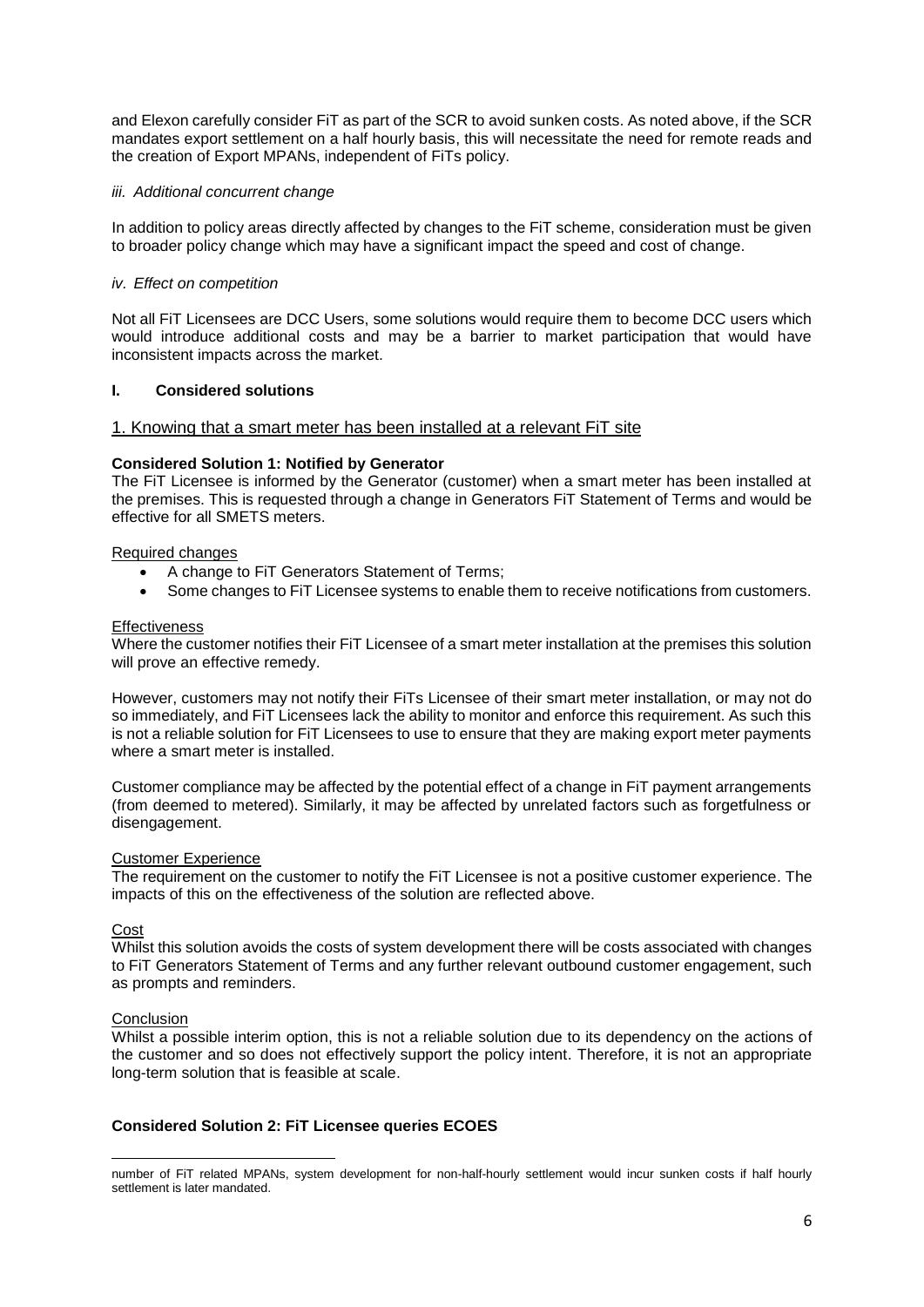and Elexon carefully consider FiT as part of the SCR to avoid sunken costs. As noted above, if the SCR mandates export settlement on a half hourly basis, this will necessitate the need for remote reads and the creation of Export MPANs, independent of FiTs policy.

#### *iii. Additional concurrent change*

In addition to policy areas directly affected by changes to the FiT scheme, consideration must be given to broader policy change which may have a significant impact the speed and cost of change.

#### *iv. Effect on competition*

Not all FiT Licensees are DCC Users, some solutions would require them to become DCC users which would introduce additional costs and may be a barrier to market participation that would have inconsistent impacts across the market.

## **I. Considered solutions**

#### 1. Knowing that a smart meter has been installed at a relevant FiT site

#### **Considered Solution 1: Notified by Generator**

The FiT Licensee is informed by the Generator (customer) when a smart meter has been installed at the premises. This is requested through a change in Generators FiT Statement of Terms and would be effective for all SMETS meters.

#### Required changes

- A change to FiT Generators Statement of Terms;
- Some changes to FiT Licensee systems to enable them to receive notifications from customers.

#### **Effectiveness**

Where the customer notifies their FiT Licensee of a smart meter installation at the premises this solution will prove an effective remedy.

However, customers may not notify their FiTs Licensee of their smart meter installation, or may not do so immediately, and FiT Licensees lack the ability to monitor and enforce this requirement. As such this is not a reliable solution for FiT Licensees to use to ensure that they are making export meter payments where a smart meter is installed.

Customer compliance may be affected by the potential effect of a change in FiT payment arrangements (from deemed to metered). Similarly, it may be affected by unrelated factors such as forgetfulness or disengagement.

#### Customer Experience

The requirement on the customer to notify the FiT Licensee is not a positive customer experience. The impacts of this on the effectiveness of the solution are reflected above.

#### Cost

Whilst this solution avoids the costs of system development there will be costs associated with changes to FiT Generators Statement of Terms and any further relevant outbound customer engagement, such as prompts and reminders.

#### Conclusion

Whilst a possible interim option, this is not a reliable solution due to its dependency on the actions of the customer and so does not effectively support the policy intent. Therefore, it is not an appropriate long-term solution that is feasible at scale.

# **Considered Solution 2: FiT Licensee queries ECOES**

**<sup>.</sup>** number of FiT related MPANs, system development for non-half-hourly settlement would incur sunken costs if half hourly settlement is later mandated.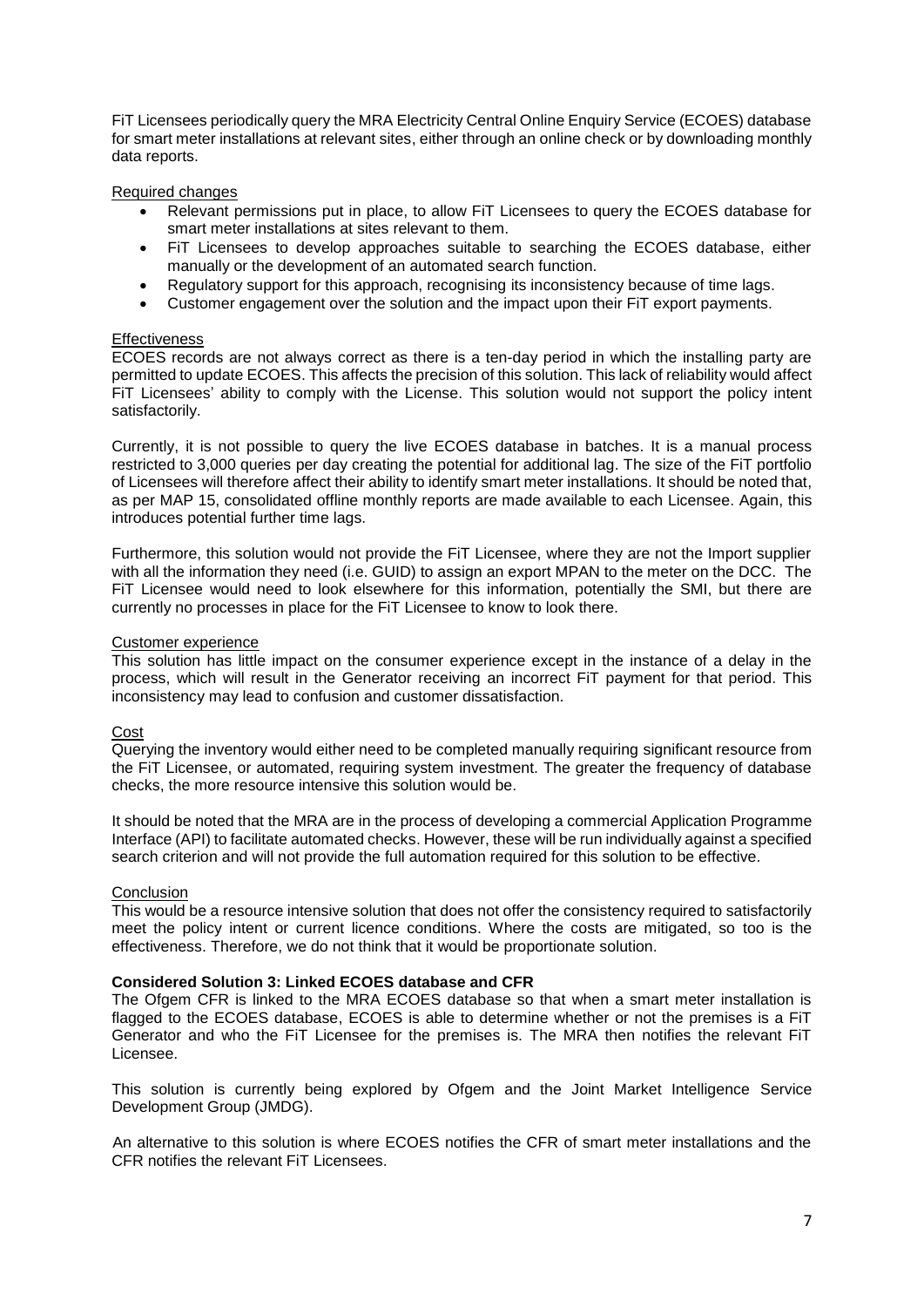FiT Licensees periodically query the MRA Electricity Central Online Enquiry Service (ECOES) database for smart meter installations at relevant sites, either through an online check or by downloading monthly data reports.

Required changes

- Relevant permissions put in place, to allow FiT Licensees to query the ECOES database for smart meter installations at sites relevant to them.
- FiT Licensees to develop approaches suitable to searching the ECOES database, either manually or the development of an automated search function.
- Regulatory support for this approach, recognising its inconsistency because of time lags.
- Customer engagement over the solution and the impact upon their FiT export payments.

#### **Effectiveness**

ECOES records are not always correct as there is a ten-day period in which the installing party are permitted to update ECOES. This affects the precision of this solution. This lack of reliability would affect FiT Licensees' ability to comply with the License. This solution would not support the policy intent satisfactorily.

Currently, it is not possible to query the live ECOES database in batches. It is a manual process restricted to 3,000 queries per day creating the potential for additional lag. The size of the FiT portfolio of Licensees will therefore affect their ability to identify smart meter installations. It should be noted that, as per MAP 15, consolidated offline monthly reports are made available to each Licensee. Again, this introduces potential further time lags.

Furthermore, this solution would not provide the FiT Licensee, where they are not the Import supplier with all the information they need (i.e. GUID) to assign an export MPAN to the meter on the DCC. The FiT Licensee would need to look elsewhere for this information, potentially the SMI, but there are currently no processes in place for the FiT Licensee to know to look there.

#### Customer experience

This solution has little impact on the consumer experience except in the instance of a delay in the process, which will result in the Generator receiving an incorrect FiT payment for that period. This inconsistency may lead to confusion and customer dissatisfaction.

Cost

Querying the inventory would either need to be completed manually requiring significant resource from the FiT Licensee, or automated, requiring system investment. The greater the frequency of database checks, the more resource intensive this solution would be.

It should be noted that the MRA are in the process of developing a commercial Application Programme Interface (API) to facilitate automated checks. However, these will be run individually against a specified search criterion and will not provide the full automation required for this solution to be effective.

#### **Conclusion**

This would be a resource intensive solution that does not offer the consistency required to satisfactorily meet the policy intent or current licence conditions. Where the costs are mitigated, so too is the effectiveness. Therefore, we do not think that it would be proportionate solution.

#### **Considered Solution 3: Linked ECOES database and CFR**

The Ofgem CFR is linked to the MRA ECOES database so that when a smart meter installation is flagged to the ECOES database, ECOES is able to determine whether or not the premises is a FiT Generator and who the FiT Licensee for the premises is. The MRA then notifies the relevant FiT Licensee.

This solution is currently being explored by Ofgem and the Joint Market Intelligence Service Development Group (JMDG).

An alternative to this solution is where ECOES notifies the CFR of smart meter installations and the CFR notifies the relevant FiT Licensees.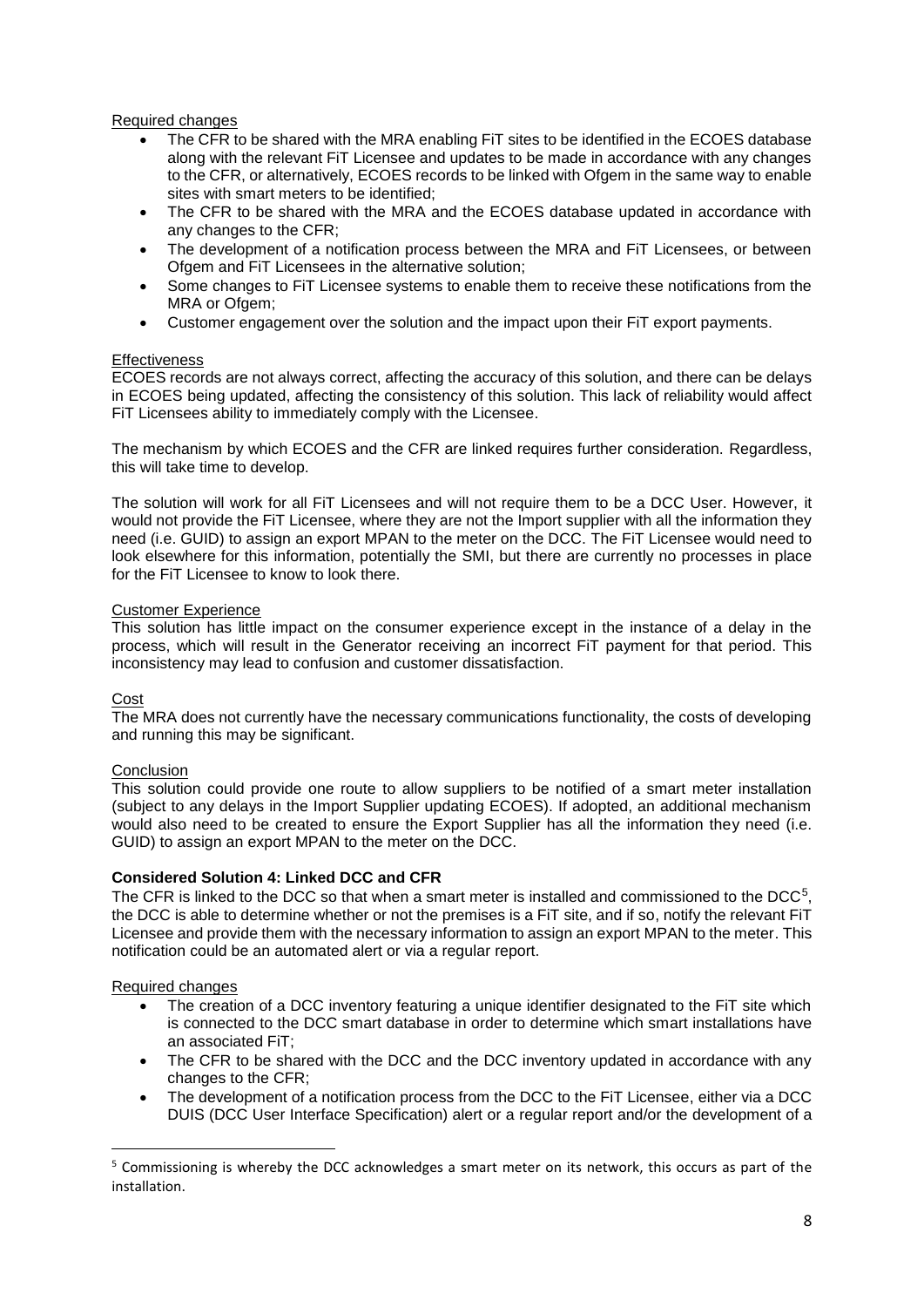# Required changes

- The CFR to be shared with the MRA enabling FiT sites to be identified in the ECOES database along with the relevant FiT Licensee and updates to be made in accordance with any changes to the CFR, or alternatively, ECOES records to be linked with Ofgem in the same way to enable sites with smart meters to be identified;
- The CFR to be shared with the MRA and the ECOES database updated in accordance with any changes to the CFR;
- The development of a notification process between the MRA and FiT Licensees, or between Ofgem and FiT Licensees in the alternative solution;
- Some changes to FiT Licensee systems to enable them to receive these notifications from the MRA or Ofgem;
- Customer engagement over the solution and the impact upon their FiT export payments.

#### **Effectiveness**

ECOES records are not always correct, affecting the accuracy of this solution, and there can be delays in ECOES being updated, affecting the consistency of this solution. This lack of reliability would affect FiT Licensees ability to immediately comply with the Licensee.

The mechanism by which ECOES and the CFR are linked requires further consideration. Regardless, this will take time to develop.

The solution will work for all FiT Licensees and will not require them to be a DCC User. However, it would not provide the FiT Licensee, where they are not the Import supplier with all the information they need (i.e. GUID) to assign an export MPAN to the meter on the DCC. The FiT Licensee would need to look elsewhere for this information, potentially the SMI, but there are currently no processes in place for the FiT Licensee to know to look there.

#### Customer Experience

This solution has little impact on the consumer experience except in the instance of a delay in the process, which will result in the Generator receiving an incorrect FiT payment for that period. This inconsistency may lead to confusion and customer dissatisfaction.

#### Cost

The MRA does not currently have the necessary communications functionality, the costs of developing and running this may be significant.

#### **Conclusion**

This solution could provide one route to allow suppliers to be notified of a smart meter installation (subject to any delays in the Import Supplier updating ECOES). If adopted, an additional mechanism would also need to be created to ensure the Export Supplier has all the information they need (i.e. GUID) to assign an export MPAN to the meter on the DCC.

#### **Considered Solution 4: Linked DCC and CFR**

The CFR is linked to the DCC so that when a smart meter is installed and commissioned to the DCC<sup>5</sup>, the DCC is able to determine whether or not the premises is a FiT site, and if so, notify the relevant FiT Licensee and provide them with the necessary information to assign an export MPAN to the meter. This notification could be an automated alert or via a regular report.

#### Required changes

1

- The creation of a DCC inventory featuring a unique identifier designated to the FiT site which is connected to the DCC smart database in order to determine which smart installations have an associated FiT;
- The CFR to be shared with the DCC and the DCC inventory updated in accordance with any changes to the CFR;
- The development of a notification process from the DCC to the FiT Licensee, either via a DCC DUIS (DCC User Interface Specification) alert or a regular report and/or the development of a

<sup>5</sup> Commissioning is whereby the DCC acknowledges a smart meter on its network, this occurs as part of the installation.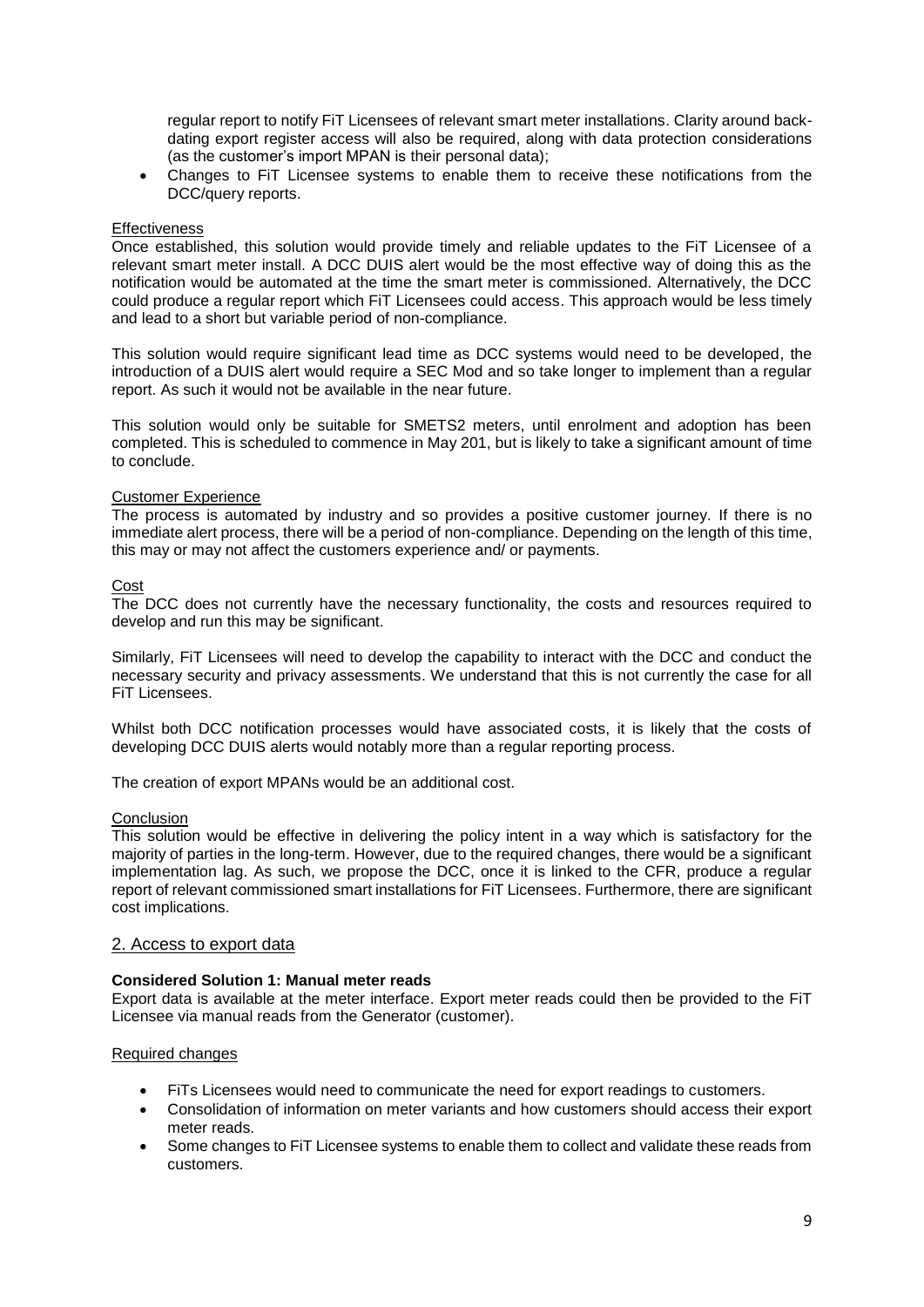regular report to notify FiT Licensees of relevant smart meter installations. Clarity around backdating export register access will also be required, along with data protection considerations (as the customer's import MPAN is their personal data);

• Changes to FiT Licensee systems to enable them to receive these notifications from the DCC/query reports.

#### **Effectiveness**

Once established, this solution would provide timely and reliable updates to the FiT Licensee of a relevant smart meter install. A DCC DUIS alert would be the most effective way of doing this as the notification would be automated at the time the smart meter is commissioned. Alternatively, the DCC could produce a regular report which FiT Licensees could access. This approach would be less timely and lead to a short but variable period of non-compliance.

This solution would require significant lead time as DCC systems would need to be developed, the introduction of a DUIS alert would require a SEC Mod and so take longer to implement than a regular report. As such it would not be available in the near future.

This solution would only be suitable for SMETS2 meters, until enrolment and adoption has been completed. This is scheduled to commence in May 201, but is likely to take a significant amount of time to conclude.

#### Customer Experience

The process is automated by industry and so provides a positive customer journey. If there is no immediate alert process, there will be a period of non-compliance. Depending on the length of this time, this may or may not affect the customers experience and/ or payments.

#### Cost

The DCC does not currently have the necessary functionality, the costs and resources required to develop and run this may be significant.

Similarly, FiT Licensees will need to develop the capability to interact with the DCC and conduct the necessary security and privacy assessments. We understand that this is not currently the case for all FiT Licensees.

Whilst both DCC notification processes would have associated costs, it is likely that the costs of developing DCC DUIS alerts would notably more than a regular reporting process.

The creation of export MPANs would be an additional cost.

#### **Conclusion**

This solution would be effective in delivering the policy intent in a way which is satisfactory for the majority of parties in the long-term. However, due to the required changes, there would be a significant implementation lag. As such, we propose the DCC, once it is linked to the CFR, produce a regular report of relevant commissioned smart installations for FiT Licensees. Furthermore, there are significant cost implications.

#### 2. Access to export data

#### **Considered Solution 1: Manual meter reads**

Export data is available at the meter interface. Export meter reads could then be provided to the FiT Licensee via manual reads from the Generator (customer).

#### Required changes

- FiTs Licensees would need to communicate the need for export readings to customers.
- Consolidation of information on meter variants and how customers should access their export meter reads.
- Some changes to FiT Licensee systems to enable them to collect and validate these reads from customers.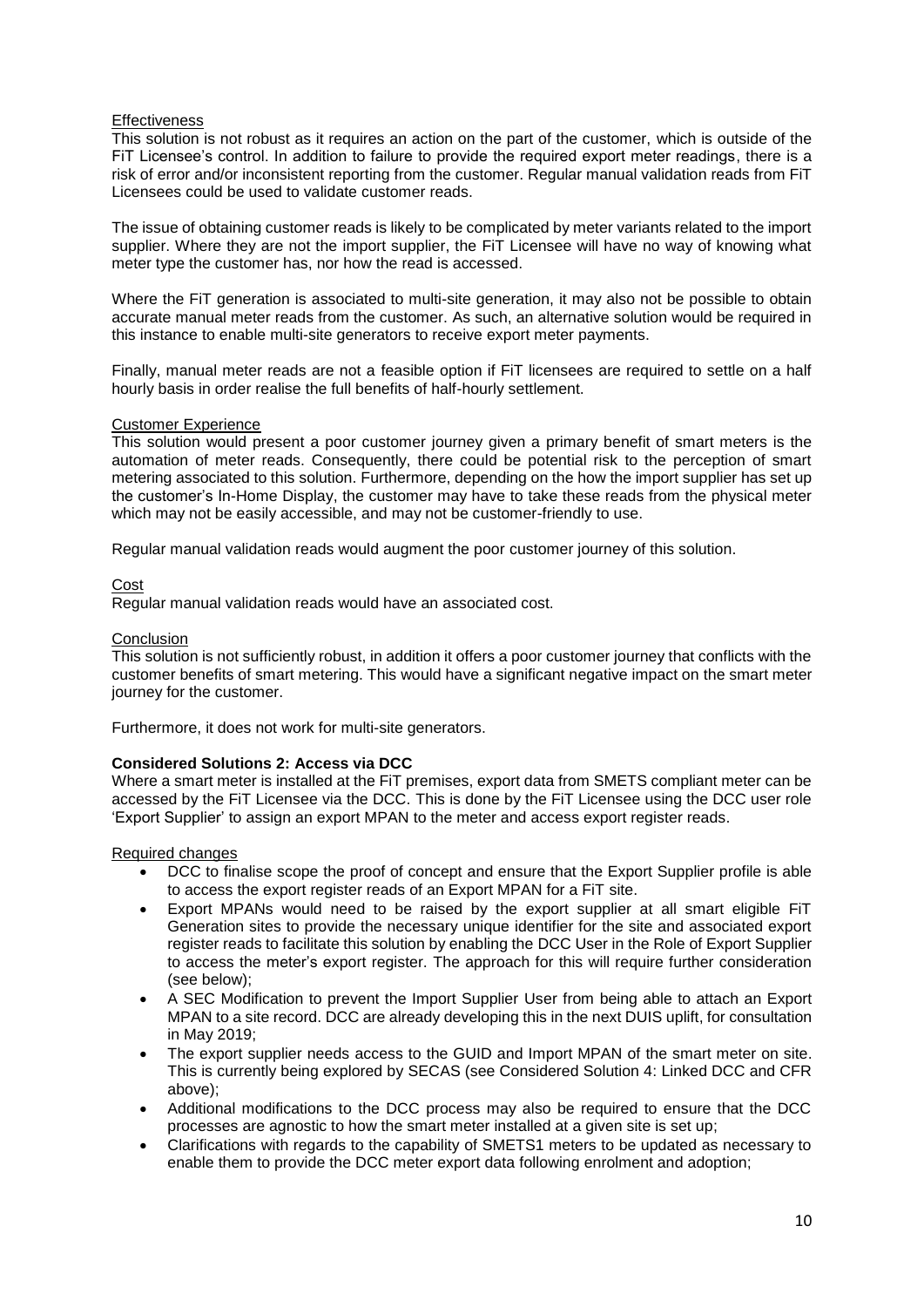#### **Effectiveness**

This solution is not robust as it requires an action on the part of the customer, which is outside of the FiT Licensee's control. In addition to failure to provide the required export meter readings, there is a risk of error and/or inconsistent reporting from the customer. Regular manual validation reads from FiT Licensees could be used to validate customer reads.

The issue of obtaining customer reads is likely to be complicated by meter variants related to the import supplier. Where they are not the import supplier, the FiT Licensee will have no way of knowing what meter type the customer has, nor how the read is accessed.

Where the FiT generation is associated to multi-site generation, it may also not be possible to obtain accurate manual meter reads from the customer. As such, an alternative solution would be required in this instance to enable multi-site generators to receive export meter payments.

Finally, manual meter reads are not a feasible option if FiT licensees are required to settle on a half hourly basis in order realise the full benefits of half-hourly settlement.

#### Customer Experience

This solution would present a poor customer journey given a primary benefit of smart meters is the automation of meter reads. Consequently, there could be potential risk to the perception of smart metering associated to this solution. Furthermore, depending on the how the import supplier has set up the customer's In-Home Display, the customer may have to take these reads from the physical meter which may not be easily accessible, and may not be customer-friendly to use.

Regular manual validation reads would augment the poor customer journey of this solution.

#### Cost

Regular manual validation reads would have an associated cost.

#### Conclusion

This solution is not sufficiently robust, in addition it offers a poor customer journey that conflicts with the customer benefits of smart metering. This would have a significant negative impact on the smart meter journey for the customer.

Furthermore, it does not work for multi-site generators.

# **Considered Solutions 2: Access via DCC**

Where a smart meter is installed at the FiT premises, export data from SMETS compliant meter can be accessed by the FiT Licensee via the DCC. This is done by the FiT Licensee using the DCC user role 'Export Supplier' to assign an export MPAN to the meter and access export register reads.

#### Required changes

- DCC to finalise scope the proof of concept and ensure that the Export Supplier profile is able to access the export register reads of an Export MPAN for a FiT site.
- Export MPANs would need to be raised by the export supplier at all smart eligible FiT Generation sites to provide the necessary unique identifier for the site and associated export register reads to facilitate this solution by enabling the DCC User in the Role of Export Supplier to access the meter's export register. The approach for this will require further consideration (see below);
- A SEC Modification to prevent the Import Supplier User from being able to attach an Export MPAN to a site record. DCC are already developing this in the next DUIS uplift, for consultation in May 2019;
- The export supplier needs access to the GUID and Import MPAN of the smart meter on site. This is currently being explored by SECAS (see Considered Solution 4: Linked DCC and CFR above);
- Additional modifications to the DCC process may also be required to ensure that the DCC processes are agnostic to how the smart meter installed at a given site is set up;
- Clarifications with regards to the capability of SMETS1 meters to be updated as necessary to enable them to provide the DCC meter export data following enrolment and adoption;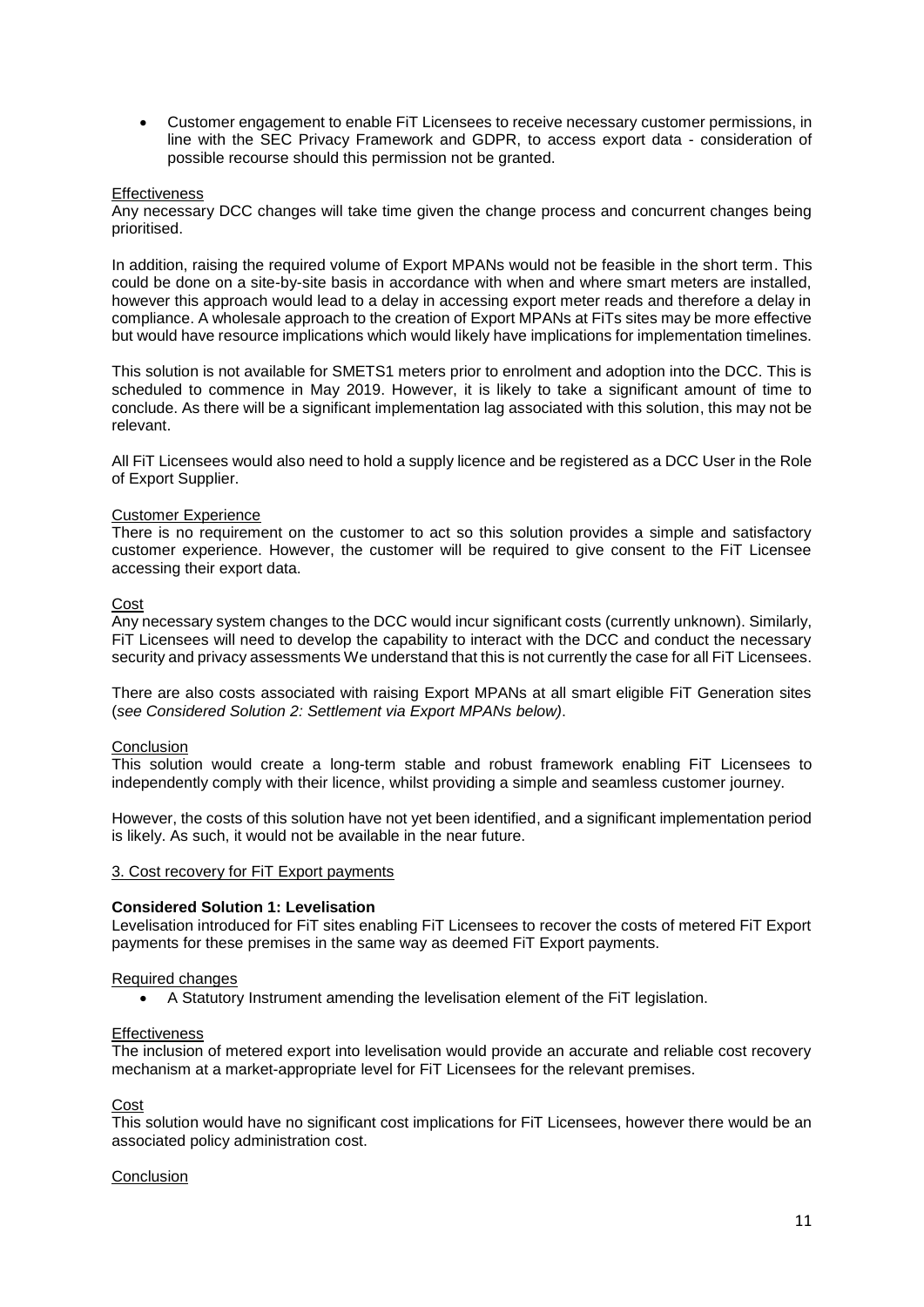• Customer engagement to enable FiT Licensees to receive necessary customer permissions, in line with the SEC Privacy Framework and GDPR, to access export data - consideration of possible recourse should this permission not be granted.

#### **Effectiveness**

Any necessary DCC changes will take time given the change process and concurrent changes being prioritised.

In addition, raising the required volume of Export MPANs would not be feasible in the short term. This could be done on a site-by-site basis in accordance with when and where smart meters are installed, however this approach would lead to a delay in accessing export meter reads and therefore a delay in compliance. A wholesale approach to the creation of Export MPANs at FiTs sites may be more effective but would have resource implications which would likely have implications for implementation timelines.

This solution is not available for SMETS1 meters prior to enrolment and adoption into the DCC. This is scheduled to commence in May 2019. However, it is likely to take a significant amount of time to conclude. As there will be a significant implementation lag associated with this solution, this may not be relevant.

All FiT Licensees would also need to hold a supply licence and be registered as a DCC User in the Role of Export Supplier.

# Customer Experience

There is no requirement on the customer to act so this solution provides a simple and satisfactory customer experience. However, the customer will be required to give consent to the FiT Licensee accessing their export data.

#### Cost

Any necessary system changes to the DCC would incur significant costs (currently unknown). Similarly, FiT Licensees will need to develop the capability to interact with the DCC and conduct the necessary security and privacy assessments We understand that this is not currently the case for all FiT Licensees.

There are also costs associated with raising Export MPANs at all smart eligible FiT Generation sites (*see Considered Solution 2: Settlement via Export MPANs below)*.

#### Conclusion

This solution would create a long-term stable and robust framework enabling FiT Licensees to independently comply with their licence, whilst providing a simple and seamless customer journey.

However, the costs of this solution have not yet been identified, and a significant implementation period is likely. As such, it would not be available in the near future.

#### 3. Cost recovery for FiT Export payments

#### **Considered Solution 1: Levelisation**

Levelisation introduced for FiT sites enabling FiT Licensees to recover the costs of metered FiT Export payments for these premises in the same way as deemed FiT Export payments.

#### Required changes

• A Statutory Instrument amending the levelisation element of the FiT legislation.

#### **Effectiveness**

The inclusion of metered export into levelisation would provide an accurate and reliable cost recovery mechanism at a market-appropriate level for FiT Licensees for the relevant premises.

Cost

This solution would have no significant cost implications for FiT Licensees, however there would be an associated policy administration cost.

# Conclusion